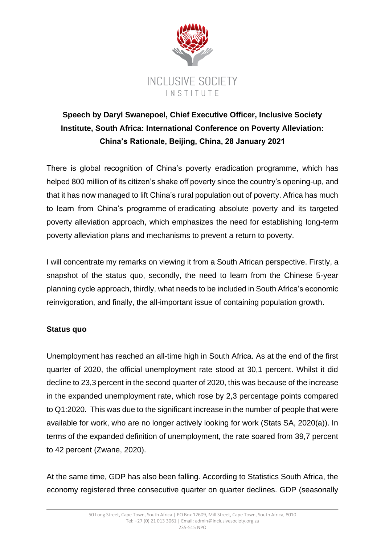

# **Speech by Daryl Swanepoel, Chief Executive Officer, Inclusive Society Institute, South Africa: International Conference on Poverty Alleviation: China's Rationale, Beijing, China, 28 January 2021**

There is global recognition of China's poverty eradication programme, which has helped 800 million of its citizen's shake off poverty since the country's opening-up, and that it has now managed to lift China's rural population out of poverty. Africa has much to learn from China's programme of eradicating absolute poverty and its targeted poverty alleviation approach, which emphasizes the need for establishing long-term poverty alleviation plans and mechanisms to prevent a return to poverty.

I will concentrate my remarks on viewing it from a South African perspective. Firstly, a snapshot of the status quo, secondly, the need to learn from the Chinese 5-year planning cycle approach, thirdly, what needs to be included in South Africa's economic reinvigoration, and finally, the all-important issue of containing population growth.

## **Status quo**

Unemployment has reached an all-time high in South Africa. As at the end of the first quarter of 2020, the official unemployment rate stood at 30,1 percent. Whilst it did decline to 23,3 percent in the second quarter of 2020, this was because of the increase in the expanded unemployment rate, which rose by 2,3 percentage points compared to Q1:2020. This was due to the significant increase in the number of people that were available for work, who are no longer actively looking for work (Stats SA, 2020(a)). In terms of the expanded definition of unemployment, the rate soared from 39,7 percent to 42 percent (Zwane, 2020).

At the same time, GDP has also been falling. According to Statistics South Africa, the economy registered three consecutive quarter on quarter declines. GDP (seasonally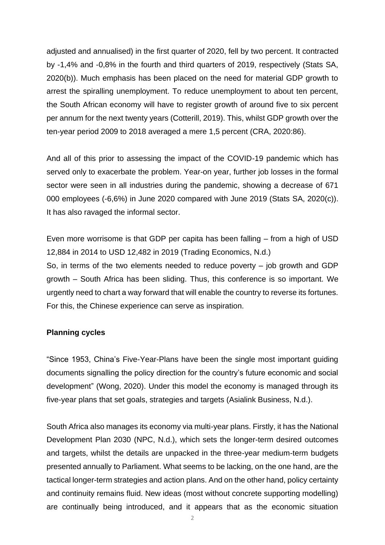adjusted and annualised) in the first quarter of 2020, fell by two percent. It contracted by -1,4% and -0,8% in the fourth and third quarters of 2019, respectively (Stats SA, 2020(b)). Much emphasis has been placed on the need for material GDP growth to arrest the spiralling unemployment. To reduce unemployment to about ten percent, the South African economy will have to register growth of around five to six percent per annum for the next twenty years (Cotterill, 2019). This, whilst GDP growth over the ten-year period 2009 to 2018 averaged a mere 1,5 percent (CRA, 2020:86).

And all of this prior to assessing the impact of the COVID-19 pandemic which has served only to exacerbate the problem. Year-on year, further job losses in the formal sector were seen in all industries during the pandemic, showing a decrease of 671 000 employees (-6,6%) in June 2020 compared with June 2019 (Stats SA, 2020(c)). It has also ravaged the informal sector.

Even more worrisome is that GDP per capita has been falling – from a high of USD 12,884 in 2014 to USD 12,482 in 2019 (Trading Economics, N.d.) So, in terms of the two elements needed to reduce poverty – job growth and GDP growth – South Africa has been sliding. Thus, this conference is so important. We urgently need to chart a way forward that will enable the country to reverse its fortunes. For this, the Chinese experience can serve as inspiration.

#### **Planning cycles**

"Since 1953, China's Five-Year-Plans have been the single most important guiding documents signalling the policy direction for the country's future economic and social development" (Wong, 2020). Under this model the economy is managed through its five-year plans that set goals, strategies and targets (Asialink Business, N.d.).

South Africa also manages its economy via multi-year plans. Firstly, it has the National Development Plan 2030 (NPC, N.d.), which sets the longer-term desired outcomes and targets, whilst the details are unpacked in the three-year medium-term budgets presented annually to Parliament. What seems to be lacking, on the one hand, are the tactical longer-term strategies and action plans. And on the other hand, policy certainty and continuity remains fluid. New ideas (most without concrete supporting modelling) are continually being introduced, and it appears that as the economic situation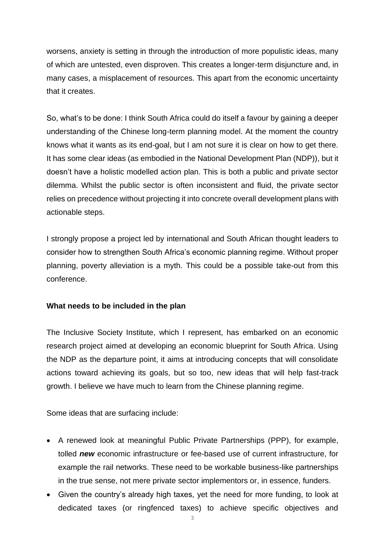worsens, anxiety is setting in through the introduction of more populistic ideas, many of which are untested, even disproven. This creates a longer-term disjuncture and, in many cases, a misplacement of resources. This apart from the economic uncertainty that it creates.

So, what's to be done: I think South Africa could do itself a favour by gaining a deeper understanding of the Chinese long-term planning model. At the moment the country knows what it wants as its end-goal, but I am not sure it is clear on how to get there. It has some clear ideas (as embodied in the National Development Plan (NDP)), but it doesn't have a holistic modelled action plan. This is both a public and private sector dilemma. Whilst the public sector is often inconsistent and fluid, the private sector relies on precedence without projecting it into concrete overall development plans with actionable steps.

I strongly propose a project led by international and South African thought leaders to consider how to strengthen South Africa's economic planning regime. Without proper planning, poverty alleviation is a myth. This could be a possible take-out from this conference.

### **What needs to be included in the plan**

The Inclusive Society Institute, which I represent, has embarked on an economic research project aimed at developing an economic blueprint for South Africa. Using the NDP as the departure point, it aims at introducing concepts that will consolidate actions toward achieving its goals, but so too, new ideas that will help fast-track growth. I believe we have much to learn from the Chinese planning regime.

Some ideas that are surfacing include:

- A renewed look at meaningful Public Private Partnerships (PPP), for example, tolled *new* economic infrastructure or fee-based use of current infrastructure, for example the rail networks. These need to be workable business-like partnerships in the true sense, not mere private sector implementors or, in essence, funders.
- Given the country's already high taxes, yet the need for more funding, to look at dedicated taxes (or ringfenced taxes) to achieve specific objectives and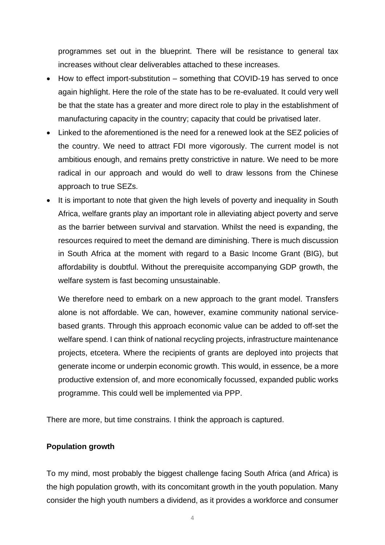programmes set out in the blueprint. There will be resistance to general tax increases without clear deliverables attached to these increases.

- How to effect import-substitution something that COVID-19 has served to once again highlight. Here the role of the state has to be re-evaluated. It could very well be that the state has a greater and more direct role to play in the establishment of manufacturing capacity in the country; capacity that could be privatised later.
- Linked to the aforementioned is the need for a renewed look at the SEZ policies of the country. We need to attract FDI more vigorously. The current model is not ambitious enough, and remains pretty constrictive in nature. We need to be more radical in our approach and would do well to draw lessons from the Chinese approach to true SEZs.
- It is important to note that given the high levels of poverty and inequality in South Africa, welfare grants play an important role in alleviating abject poverty and serve as the barrier between survival and starvation. Whilst the need is expanding, the resources required to meet the demand are diminishing. There is much discussion in South Africa at the moment with regard to a Basic Income Grant (BIG), but affordability is doubtful. Without the prerequisite accompanying GDP growth, the welfare system is fast becoming unsustainable.

We therefore need to embark on a new approach to the grant model. Transfers alone is not affordable. We can, however, examine community national servicebased grants. Through this approach economic value can be added to off-set the welfare spend. I can think of national recycling projects, infrastructure maintenance projects, etcetera. Where the recipients of grants are deployed into projects that generate income or underpin economic growth. This would, in essence, be a more productive extension of, and more economically focussed, expanded public works programme. This could well be implemented via PPP.

There are more, but time constrains. I think the approach is captured.

#### **Population growth**

To my mind, most probably the biggest challenge facing South Africa (and Africa) is the high population growth, with its concomitant growth in the youth population. Many consider the high youth numbers a dividend, as it provides a workforce and consumer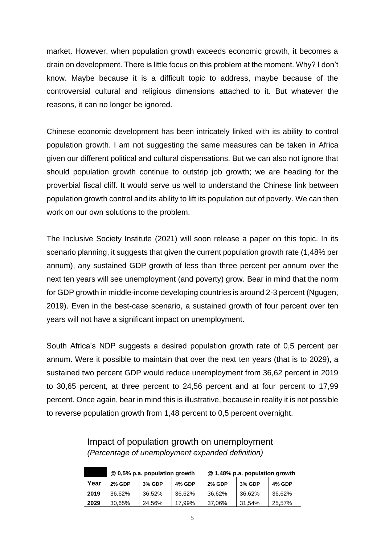market. However, when population growth exceeds economic growth, it becomes a drain on development. There is little focus on this problem at the moment. Why? I don't know. Maybe because it is a difficult topic to address, maybe because of the controversial cultural and religious dimensions attached to it. But whatever the reasons, it can no longer be ignored.

Chinese economic development has been intricately linked with its ability to control population growth. I am not suggesting the same measures can be taken in Africa given our different political and cultural dispensations. But we can also not ignore that should population growth continue to outstrip job growth; we are heading for the proverbial fiscal cliff. It would serve us well to understand the Chinese link between population growth control and its ability to lift its population out of poverty. We can then work on our own solutions to the problem.

The Inclusive Society Institute (2021) will soon release a paper on this topic. In its scenario planning, it suggests that given the current population growth rate (1,48% per annum), any sustained GDP growth of less than three percent per annum over the next ten years will see unemployment (and poverty) grow. Bear in mind that the norm for GDP growth in middle-income developing countries is around 2-3 percent (Ngugen, 2019). Even in the best-case scenario, a sustained growth of four percent over ten years will not have a significant impact on unemployment.

South Africa's NDP suggests a desired population growth rate of 0,5 percent per annum. Were it possible to maintain that over the next ten years (that is to 2029), a sustained two percent GDP would reduce unemployment from 36,62 percent in 2019 to 30,65 percent, at three percent to 24,56 percent and at four percent to 17,99 percent. Once again, bear in mind this is illustrative, because in reality it is not possible to reverse population growth from 1,48 percent to 0,5 percent overnight.

|      | @ 0,5% p.a. population growth |               |        | @ 1,48% p.a. population growth |               |               |
|------|-------------------------------|---------------|--------|--------------------------------|---------------|---------------|
| Year | <b>2% GDP</b>                 | <b>3% GDP</b> | 4% GDP | <b>2% GDP</b>                  | <b>3% GDP</b> | <b>4% GDP</b> |
| 2019 | 36.62%                        | 36.52%        | 36.62% | 36.62%                         | 36.62%        | 36.62%        |
| 2029 | 30,65%                        | 24.56%        | 17,99% | 37.06%                         | 31.54%        | 25,57%        |

## Impact of population growth on unemployment *(Percentage of unemployment expanded definition)*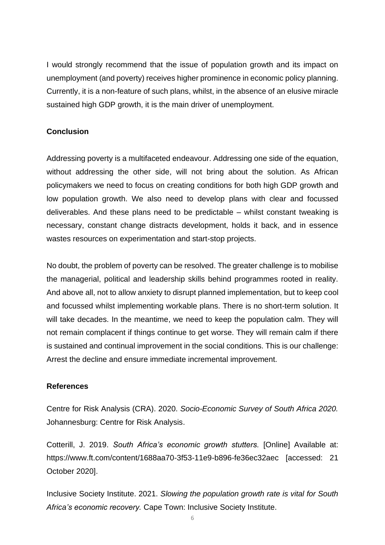I would strongly recommend that the issue of population growth and its impact on unemployment (and poverty) receives higher prominence in economic policy planning. Currently, it is a non-feature of such plans, whilst, in the absence of an elusive miracle sustained high GDP growth, it is the main driver of unemployment.

## **Conclusion**

Addressing poverty is a multifaceted endeavour. Addressing one side of the equation, without addressing the other side, will not bring about the solution. As African policymakers we need to focus on creating conditions for both high GDP growth and low population growth. We also need to develop plans with clear and focussed deliverables. And these plans need to be predictable – whilst constant tweaking is necessary, constant change distracts development, holds it back, and in essence wastes resources on experimentation and start-stop projects.

No doubt, the problem of poverty can be resolved. The greater challenge is to mobilise the managerial, political and leadership skills behind programmes rooted in reality. And above all, not to allow anxiety to disrupt planned implementation, but to keep cool and focussed whilst implementing workable plans. There is no short-term solution. It will take decades. In the meantime, we need to keep the population calm. They will not remain complacent if things continue to get worse. They will remain calm if there is sustained and continual improvement in the social conditions. This is our challenge: Arrest the decline and ensure immediate incremental improvement.

## **References**

Centre for Risk Analysis (CRA). 2020. *Socio-Economic Survey of South Africa 2020.*  Johannesburg: Centre for Risk Analysis.

Cotterill, J. 2019. *South Africa's economic growth stutters.* [Online] Available at: <https://www.ft.com/content/1688aa70-3f53-11e9-b896-fe36ec32aec> [accessed: 21 October 2020].

Inclusive Society Institute. 2021. *Slowing the population growth rate is vital for South Africa's economic recovery.* Cape Town: Inclusive Society Institute.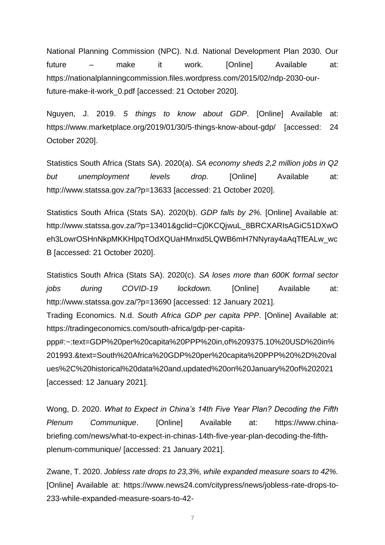National Planning Commission (NPC). N.d. National Development Plan 2030. Our future – make it work. [Online] Available at: [https://nationalplanningcommission.files.wordpress.com/2015/02/ndp-2030-our](https://nationalplanningcommission.files.wordpress.com/2015/02/ndp-2030-our-future-make-it-work_0.pdf)[future-make-it-work\\_0.pdf](https://nationalplanningcommission.files.wordpress.com/2015/02/ndp-2030-our-future-make-it-work_0.pdf) [accessed: 21 October 2020].

Nguyen, J. 2019. *5 things to know about GDP*. [Online] Available at: <https://www.marketplace.org/2019/01/30/5-things-know-about-gdp/> [accessed: 24 October 2020].

Statistics South Africa (Stats SA). 2020(a). *SA economy sheds 2,2 million jobs in Q2 but unemployment levels drop.* [Online] Available at: <http://www.statssa.gov.za/?p=13633> [accessed: 21 October 2020].

Statistics South Africa (Stats SA). 2020(b). *GDP falls by 2%.* [Online] Available at: [http://www.statssa.gov.za/?p=13401&gclid=Cj0KCQjwuL\\_8BRCXARIsAGiC51DXwO](http://www.statssa.gov.za/?p=13401&gclid=Cj0KCQjwuL_8BRCXARIsAGiC51DXwOeh3LowrOSHnNkpMKKHlpqTOdXQUaHMnxd5LQWB6mH7NNyray4aAqTfEALw_wcB) [eh3LowrOSHnNkpMKKHlpqTOdXQUaHMnxd5LQWB6mH7NNyray4aAqTfEALw\\_wc](http://www.statssa.gov.za/?p=13401&gclid=Cj0KCQjwuL_8BRCXARIsAGiC51DXwOeh3LowrOSHnNkpMKKHlpqTOdXQUaHMnxd5LQWB6mH7NNyray4aAqTfEALw_wcB) [B](http://www.statssa.gov.za/?p=13401&gclid=Cj0KCQjwuL_8BRCXARIsAGiC51DXwOeh3LowrOSHnNkpMKKHlpqTOdXQUaHMnxd5LQWB6mH7NNyray4aAqTfEALw_wcB) [accessed: 21 October 2020].

Statistics South Africa (Stats SA). 2020(c). *[SA loses more than 600K formal sector](file:///C:/Users/Olivia/Downloads/SA%20loses%20more%20than%20600K%20formal%20sector%20jobs%20during%20COVID-19%20lockdown.%20%5bOnline%5d%20Available%20at:%20http:/www.statssa.gov.za/%3fp=13690%20%5baccessed:%2012%20January%202021%5d)  [jobs during COVID-19 lockdown.](file:///C:/Users/Olivia/Downloads/SA%20loses%20more%20than%20600K%20formal%20sector%20jobs%20during%20COVID-19%20lockdown.%20%5bOnline%5d%20Available%20at:%20http:/www.statssa.gov.za/%3fp=13690%20%5baccessed:%2012%20January%202021%5d)* [Online] Available at: [http://www.statssa.gov.za/?p=13690 \[accessed: 12 January 2021\].](file:///C:/Users/Olivia/Downloads/SA%20loses%20more%20than%20600K%20formal%20sector%20jobs%20during%20COVID-19%20lockdown.%20%5bOnline%5d%20Available%20at:%20http:/www.statssa.gov.za/%3fp=13690%20%5baccessed:%2012%20January%202021%5d) Trading Economics. N.d. *South Africa GDP per capita PPP*. [Online] Available at: [https://tradingeconomics.com/south-africa/gdp-per-capita](https://tradingeconomics.com/south-africa/gdp-per-capita-ppp#:~:text=GDP%20per%20capita%20PPP%20in,of%209375.10%20USD%20in%201993.&text=South%20Africa%20GDP%20per%20capita%20PPP%20%2D%20values%2C%20historical%20data%20and,updated%20on%20January%20of%202021)[ppp#:~:text=GDP%20per%20capita%20PPP%20in,of%209375.10%20USD%20in%](https://tradingeconomics.com/south-africa/gdp-per-capita-ppp#:~:text=GDP%20per%20capita%20PPP%20in,of%209375.10%20USD%20in%201993.&text=South%20Africa%20GDP%20per%20capita%20PPP%20%2D%20values%2C%20historical%20data%20and,updated%20on%20January%20of%202021) [201993.&text=South%20Africa%20GDP%20per%20capita%20PPP%20%2D%20val](https://tradingeconomics.com/south-africa/gdp-per-capita-ppp#:~:text=GDP%20per%20capita%20PPP%20in,of%209375.10%20USD%20in%201993.&text=South%20Africa%20GDP%20per%20capita%20PPP%20%2D%20values%2C%20historical%20data%20and,updated%20on%20January%20of%202021) [ues%2C%20historical%20data%20and,updated%20on%20January%20of%202021](https://tradingeconomics.com/south-africa/gdp-per-capita-ppp#:~:text=GDP%20per%20capita%20PPP%20in,of%209375.10%20USD%20in%201993.&text=South%20Africa%20GDP%20per%20capita%20PPP%20%2D%20values%2C%20historical%20data%20and,updated%20on%20January%20of%202021) [accessed: 12 January 2021].

Wong, D. 2020. *What to Expect in China's 14th Five Year Plan? Decoding the Fifth Plenum Communique*. [Online] Available at: [https://www.china](https://www.china-briefing.com/news/what-to-expect-in-chinas-14th-five-year-plan-decoding-the-fifth-plenum-communique/)[briefing.com/news/what-to-expect-in-chinas-14th-five-year-plan-decoding-the-fifth](https://www.china-briefing.com/news/what-to-expect-in-chinas-14th-five-year-plan-decoding-the-fifth-plenum-communique/)[plenum-communique/](https://www.china-briefing.com/news/what-to-expect-in-chinas-14th-five-year-plan-decoding-the-fifth-plenum-communique/) [accessed: 21 January 2021].

Zwane, T. 2020. *Jobless rate drops to 23,3%, while expanded measure soars to 42%.* [Online] Available at: [https://www.news24.com/citypress/news/jobless-rate-drops-to-](https://www.news24.com/citypress/news/jobless-rate-drops-to-233-while-expanded-measure-soars-to-42-20200929#:~:text=The%20rate%20in%20the%20expanded,42%25%20in%20the%20second%20quarter)[233-while-expanded-measure-soars-to-42-](https://www.news24.com/citypress/news/jobless-rate-drops-to-233-while-expanded-measure-soars-to-42-20200929#:~:text=The%20rate%20in%20the%20expanded,42%25%20in%20the%20second%20quarter)